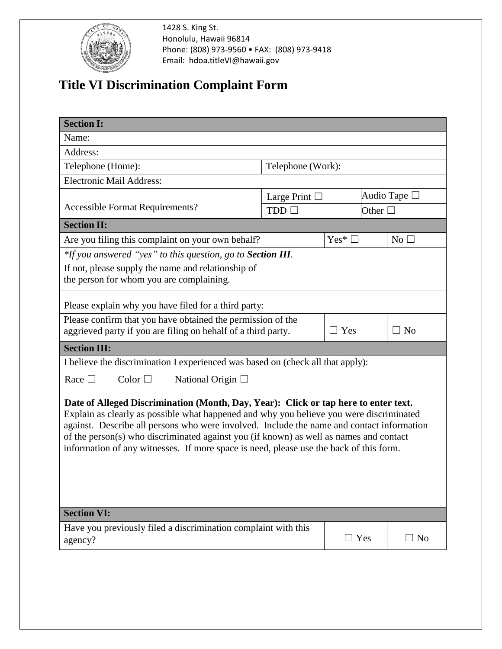

1428 S. King St. Honolulu, Hawaii 96814 Phone: (808) 973-9560 • FAX: (808) 973-9418 Email: hdoa.titleVI@hawaii.gov

## **Title VI Discrimination Complaint Form**

| <b>Section I:</b>                                                                                                                                                                   |                                                             |             |                      |  |  |  |  |
|-------------------------------------------------------------------------------------------------------------------------------------------------------------------------------------|-------------------------------------------------------------|-------------|----------------------|--|--|--|--|
| Name:                                                                                                                                                                               |                                                             |             |                      |  |  |  |  |
| Address:                                                                                                                                                                            |                                                             |             |                      |  |  |  |  |
| Telephone (Home):                                                                                                                                                                   | Telephone (Work):                                           |             |                      |  |  |  |  |
| <b>Electronic Mail Address:</b>                                                                                                                                                     |                                                             |             |                      |  |  |  |  |
|                                                                                                                                                                                     | Large Print $\Box$                                          |             | Audio Tape $\square$ |  |  |  |  |
| <b>Accessible Format Requirements?</b>                                                                                                                                              | $TDD$ $\Box$                                                |             | Other $\Box$         |  |  |  |  |
| <b>Section II:</b>                                                                                                                                                                  |                                                             |             |                      |  |  |  |  |
| Are you filing this complaint on your own behalf?                                                                                                                                   |                                                             | Yes* $\Box$ | $No$ $\square$       |  |  |  |  |
|                                                                                                                                                                                     | *If you answered "yes" to this question, go to Section III. |             |                      |  |  |  |  |
| If not, please supply the name and relationship of                                                                                                                                  |                                                             |             |                      |  |  |  |  |
| the person for whom you are complaining.                                                                                                                                            |                                                             |             |                      |  |  |  |  |
|                                                                                                                                                                                     |                                                             |             |                      |  |  |  |  |
| Please explain why you have filed for a third party:                                                                                                                                |                                                             |             |                      |  |  |  |  |
| Please confirm that you have obtained the permission of the                                                                                                                         |                                                             | $\Box$ Yes  | $\Box$ No            |  |  |  |  |
| aggrieved party if you are filing on behalf of a third party.                                                                                                                       |                                                             |             |                      |  |  |  |  |
| <b>Section III:</b>                                                                                                                                                                 |                                                             |             |                      |  |  |  |  |
| I believe the discrimination I experienced was based on (check all that apply):                                                                                                     |                                                             |             |                      |  |  |  |  |
| Race $\Box$<br>Color $\square$<br>National Origin $\Box$                                                                                                                            |                                                             |             |                      |  |  |  |  |
|                                                                                                                                                                                     |                                                             |             |                      |  |  |  |  |
| Date of Alleged Discrimination (Month, Day, Year): Click or tap here to enter text.                                                                                                 |                                                             |             |                      |  |  |  |  |
| Explain as clearly as possible what happened and why you believe you were discriminated                                                                                             |                                                             |             |                      |  |  |  |  |
| against. Describe all persons who were involved. Include the name and contact information<br>of the person(s) who discriminated against you (if known) as well as names and contact |                                                             |             |                      |  |  |  |  |
| information of any witnesses. If more space is need, please use the back of this form.                                                                                              |                                                             |             |                      |  |  |  |  |
|                                                                                                                                                                                     |                                                             |             |                      |  |  |  |  |
|                                                                                                                                                                                     |                                                             |             |                      |  |  |  |  |
|                                                                                                                                                                                     |                                                             |             |                      |  |  |  |  |
|                                                                                                                                                                                     |                                                             |             |                      |  |  |  |  |
| <b>Section VI:</b>                                                                                                                                                                  |                                                             |             |                      |  |  |  |  |
| Have you previously filed a discrimination complaint with this                                                                                                                      |                                                             |             |                      |  |  |  |  |
| agency?                                                                                                                                                                             |                                                             | $\Box$ Yes  | $\square$ No         |  |  |  |  |
|                                                                                                                                                                                     |                                                             |             |                      |  |  |  |  |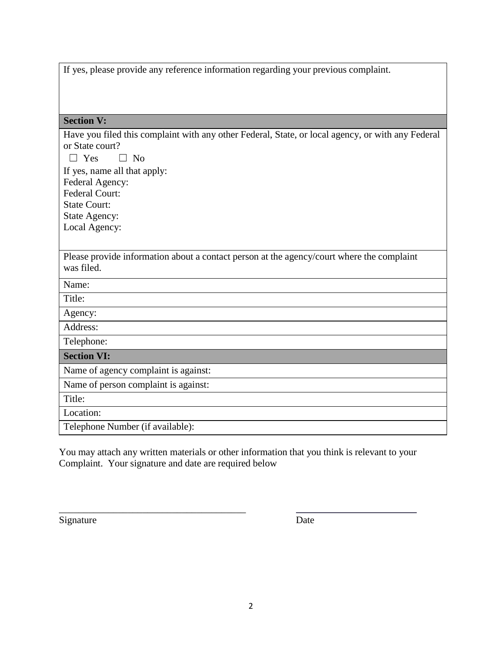|  |  |  |  |  | If yes, please provide any reference information regarding your previous complaint. |
|--|--|--|--|--|-------------------------------------------------------------------------------------|
|  |  |  |  |  |                                                                                     |
|  |  |  |  |  |                                                                                     |
|  |  |  |  |  |                                                                                     |

| <b>Section V:</b>                                                                                 |
|---------------------------------------------------------------------------------------------------|
| Have you filed this complaint with any other Federal, State, or local agency, or with any Federal |
| or State court?                                                                                   |
| $\Box$ Yes<br>$\Box$ No                                                                           |
| If yes, name all that apply:                                                                      |
| Federal Agency:                                                                                   |
| <b>Federal Court:</b>                                                                             |
| <b>State Court:</b>                                                                               |
| <b>State Agency:</b>                                                                              |
| Local Agency:                                                                                     |
|                                                                                                   |
| Please provide information about a contact person at the agency/court where the complaint         |
| was filed.                                                                                        |
| Name:                                                                                             |
| Title:                                                                                            |
| Agency:                                                                                           |
| Address:                                                                                          |
| Telephone:                                                                                        |
| <b>Section VI:</b>                                                                                |
| Name of agency complaint is against:                                                              |
| Name of person complaint is against:                                                              |
| Title:                                                                                            |
| Location:                                                                                         |
| Telephone Number (if available):                                                                  |

You may attach any written materials or other information that you think is relevant to your Complaint. Your signature and date are required below

Signature Date

\_\_\_\_\_\_\_\_\_\_\_\_\_\_\_\_\_\_\_\_\_\_\_\_\_\_\_\_\_\_\_\_\_\_\_\_\_\_